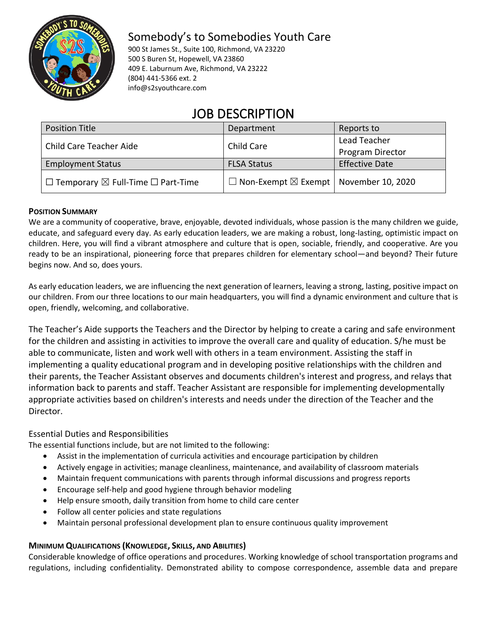

# Somebody's to Somebodies Youth Care

900 St James St., Suite 100, Richmond, VA 23220 500 S Buren St, Hopewell, VA 23860 409 E. Laburnum Ave, Richmond, VA 23222 (804) 441-5366 ext. 2 info@s2syouthcare.com

# JOB DESCRIPTION

| <b>Position Title</b>                                   | Department                                               | Reports to            |
|---------------------------------------------------------|----------------------------------------------------------|-----------------------|
| Child Care Teacher Aide                                 | Child Care                                               | Lead Teacher          |
|                                                         |                                                          | Program Director      |
| <b>Employment Status</b>                                | <b>FLSA Status</b>                                       | <b>Effective Date</b> |
| $\Box$ Temporary $\boxtimes$ Full-Time $\Box$ Part-Time | $\Box$ Non-Exempt $\boxtimes$ Exempt   November 10, 2020 |                       |

## **POSITION SUMMARY**

We are a community of cooperative, brave, enjoyable, devoted individuals, whose passion is the many children we guide, educate, and safeguard every day. As early education leaders, we are making a robust, long-lasting, optimistic impact on children. Here, you will find a vibrant atmosphere and culture that is open, sociable, friendly, and cooperative. Are you ready to be an inspirational, pioneering force that prepares children for elementary school—and beyond? Their future begins now. And so, does yours.

As early education leaders, we are influencing the next generation of learners, leaving a strong, lasting, positive impact on our children. From our three locations to our main headquarters, you will find a dynamic environment and culture that is open, friendly, welcoming, and collaborative.

The Teacher's Aide supports the Teachers and the Director by helping to create a caring and safe environment for the children and assisting in activities to improve the overall care and quality of education. S/he must be able to communicate, listen and work well with others in a team environment. Assisting the staff in implementing a quality educational program and in developing positive relationships with the children and their parents, the Teacher Assistant observes and documents children's interest and progress, and relays that information back to parents and staff. Teacher Assistant are responsible for implementing developmentally appropriate activities based on children's interests and needs under the direction of the Teacher and the Director.

# Essential Duties and Responsibilities

The essential functions include, but are not limited to the following:

- Assist in the implementation of curricula activities and encourage participation by children
- Actively engage in activities; manage cleanliness, maintenance, and availability of classroom materials
- Maintain frequent communications with parents through informal discussions and progress reports
- Encourage self-help and good hygiene through behavior modeling
- Help ensure smooth, daily transition from home to child care center
- Follow all center policies and state regulations
- Maintain personal professional development plan to ensure continuous quality improvement

# **MINIMUM QUALIFICATIONS (KNOWLEDGE, SKILLS, AND ABILITIES)**

Considerable knowledge of office operations and procedures. Working knowledge of school transportation programs and regulations, including confidentiality. Demonstrated ability to compose correspondence, assemble data and prepare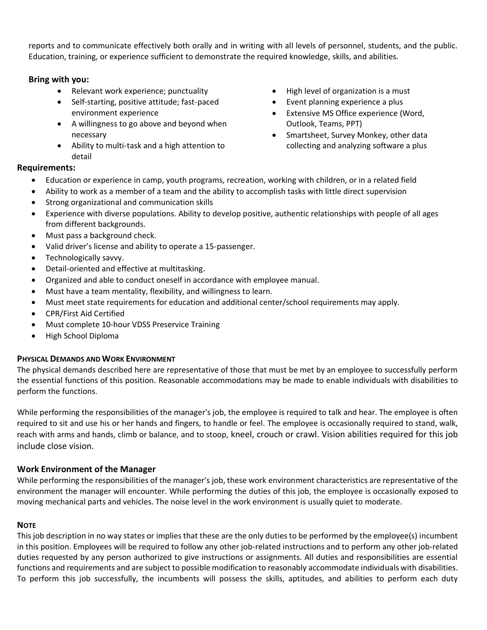reports and to communicate effectively both orally and in writing with all levels of personnel, students, and the public. Education, training, or experience sufficient to demonstrate the required knowledge, skills, and abilities.

## **Bring with you:**

- Relevant work experience; punctuality
- Self-starting, positive attitude; fast-paced environment experience
- A willingness to go above and beyond when necessary
- Ability to multi-task and a high attention to detail
- High level of organization is a must
- Event planning experience a plus
- Extensive MS Office experience (Word, Outlook, Teams, PPT)
- Smartsheet, Survey Monkey, other data collecting and analyzing software a plus

#### **Requirements:**

- Education or experience in camp, youth programs, recreation, working with children, or in a related field
- Ability to work as a member of a team and the ability to accomplish tasks with little direct supervision
- Strong organizational and communication skills
- Experience with diverse populations. Ability to develop positive, authentic relationships with people of all ages from different backgrounds.
- Must pass a background check.
- Valid driver's license and ability to operate a 15-passenger.
- Technologically savvy.
- Detail-oriented and effective at multitasking.
- Organized and able to conduct oneself in accordance with employee manual.
- Must have a team mentality, flexibility, and willingness to learn.
- Must meet state requirements for education and additional center/school requirements may apply.
- CPR/First Aid Certified
- Must complete 10-hour VDSS Preservice Training
- High School Diploma

#### **PHYSICAL DEMANDS AND WORK ENVIRONMENT**

The physical demands described here are representative of those that must be met by an employee to successfully perform the essential functions of this position. Reasonable accommodations may be made to enable individuals with disabilities to perform the functions.

While performing the responsibilities of the manager's job, the employee is required to talk and hear. The employee is often required to sit and use his or her hands and fingers, to handle or feel. The employee is occasionally required to stand, walk, reach with arms and hands, climb or balance, and to stoop, kneel, crouch or crawl. Vision abilities required for this job include close vision.

#### **Work Environment of the Manager**

While performing the responsibilities of the manager's job, these work environment characteristics are representative of the environment the manager will encounter. While performing the duties of this job, the employee is occasionally exposed to moving mechanical parts and vehicles. The noise level in the work environment is usually quiet to moderate.

#### **NOTE**

This job description in no way states or implies that these are the only duties to be performed by the employee(s) incumbent in this position. Employees will be required to follow any other job-related instructions and to perform any other job-related duties requested by any person authorized to give instructions or assignments. All duties and responsibilities are essential functions and requirements and are subject to possible modification to reasonably accommodate individuals with disabilities. To perform this job successfully, the incumbents will possess the skills, aptitudes, and abilities to perform each duty